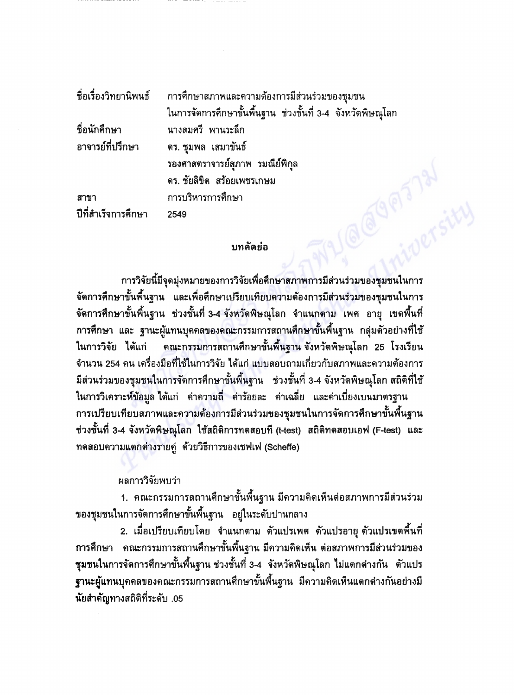|                     | ชื่อเรื่องวิทยานิพนธ์ การศึกษาสภาพและความต้องการมีส่วนร่วมของชุมชน |
|---------------------|--------------------------------------------------------------------|
|                     | ในการจัดการศึกษาขั้นพื้นฐาน ช่วงชั้นที่ 3-4 จังหวัดพิษณุโลก        |
| ชื่อนักศึกษา        | นางสมศรี พานระลึก                                                  |
| อาจารย์ที่ปรึกษา    | ิดร. ชุมพล เสมาขันธ์                                               |
|                     | รองศาสตราจารย์สุภาพ รมณีย์พิกุล                                    |
|                     | ดร. ชัยลิขิต สร้อยเพชรเกษม                                         |
| สาขา                | การบริหารการศึกษา                                                  |
| ปีที่สำเร็จการศึกษา | 2549                                                               |
|                     |                                                                    |
|                     | บทคัดย่อ                                                           |

## บทคัดย่อ

การวิจัยนี้มีจุดมุ่งหมายของการวิจัยเพื่อศึกษาสภาพการมีส่วนร่วมของชุมชนในการ จัดการศึกษาขั้นพื้นฐาน และเพื่อศึกษาเปรียบเทียบความต้องการมีส่วนร่วมของชุมชนในการ ี จัดการศึกษาขั้นพื้นฐาน ช่วงชั้นที่ 3-4 จังหวัดพิษณุโลก จำแนกตาม เพศ อายุ เขตพื้นที่ ่ การศึกษา และ ฐานะผู้แทนบุคคลของคณะกรรมการสถานศึกษาขั้นพื้นฐาน กลุ่มตัวอย่างที่ใช้ ในการวิจัย ได้แก่ คณะกรรมการสถานศึกษาขั้นพื้นฐาน จังหวัดพิษณุโลก 25 โรงเรียน ้จำนวน 254 คน เครื่องมือที่ใช้ในการวิจัย ได้แก่ แบบสอบถามเกี่ยวกับสภาพและความต้องการ ี่มีส่วนร่วมของชุมชนในการจัดการศึกษาขั้นพื้นฐาน ช่วงชั้นที่ 3-4 จังหวัดพิษณุโลก สถิติที่ใช้ ในการวิเคราะห์ข้อมูล ได้แก่ คำความถี่ คำร้อยละ คำเฉลี่ย และคำเบี่ยงเบนมาตรฐาน ่ การเปรียบเทียบสภาพและความต้องการมีส่วนร่วมของชุมชนในการจัดการศึกษาขั้นพื้นฐาน ช่วงชั้นที่ 3-4 จังหวัดพิษณุโลก ใช้สถิติการทดสอบที่ (t-test) สถิติทดสอบเอฟ (F-test) และ ทดสอบความแตกต่างรายคู่ ด้วยวิธีการของเชฟเฟ (Scheffe)

## ผลการวิจัยพบว่า

1. คณะกรรมการสถานศึกษาขั้นพื้นฐาน มีความคิดเห็นต่อสภาพการมีส่วนร่วม ของชุมชนในการจัดการศึกษาขั้นพื้นฐาน อยู่ในระดับปานกลาง

่ 2. เมื่อเปรียบเทียบโดย จำแนกตาม ตัวแปรเพศ ตัวแปรอายุ ตัวแปรเขตพื้นที่ ่ การศึกษา คณะกรรมการสถานศึกษาขั้นพื้นฐาน มีความคิดเห็น ต่อสภาพการมีส่วนร่วมของ ชุมชนในการจัดการศึกษาขั้นพื้นฐาน ช่วงชั้นที่ 3-4 จังหวัดพิษณุโลก ไม่แตกต่างกัน ตัวแปร ฐานะผู้แทนบุคคลของคณะกรรมการสถานศึกษาขั้นพื้นฐาน มีความคิดเห็นแตกต่างกันอย่างมี นัยสำคัญทางสถิติที่ระดับ .05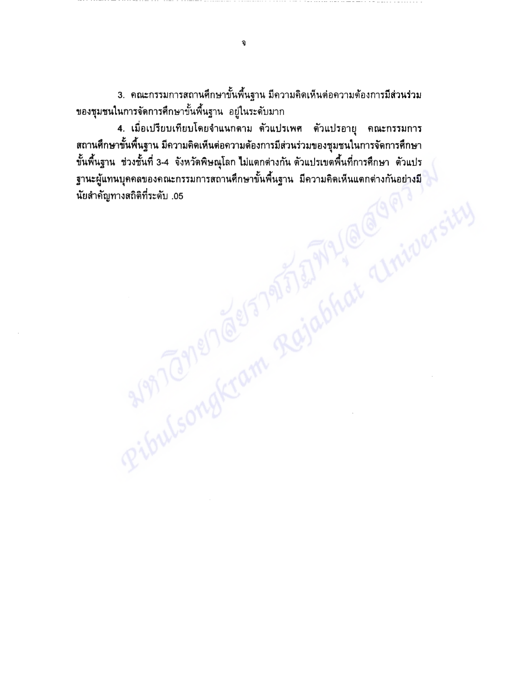3. คณะกรรมการสถานศึกษาขั้นพื้นฐาน มีความคิดเห็นต่อความต้องการมีส่วนร่วม ของชุมชนในการจัดการศึกษาขั้นพื้นฐาน อยู่ในระดับมาก

4. เมื่อเปรียบเทียบโดยจำแนกตาม ตัวแปรเพศ ตัวแปรอายุ คณะกรรมการ ิสถานศึกษาขั้นพื้นฐาน มีความคิดเห็นต่อความต้องการมีส่วนร่วมของชุมชนในการจัดการศึกษา Ribulsongkram Rajabhat Universit ขั้นพื้นฐาน ช่วงชั้นที่ 3-4 จังหวัดพิษณุโลก ไม่แตกต่างกัน ตัวแปรเขตพื้นที่การศึกษา ตัวแปร ฐานะผู้แทนบุคคลของคณะกรรมการสถานศึกษาขั้นพื้นฐาน มีความคิดเห็นแตกต่างกันอย่างมี นัยสำคัญทางสถิติที่ระดับ .05

จ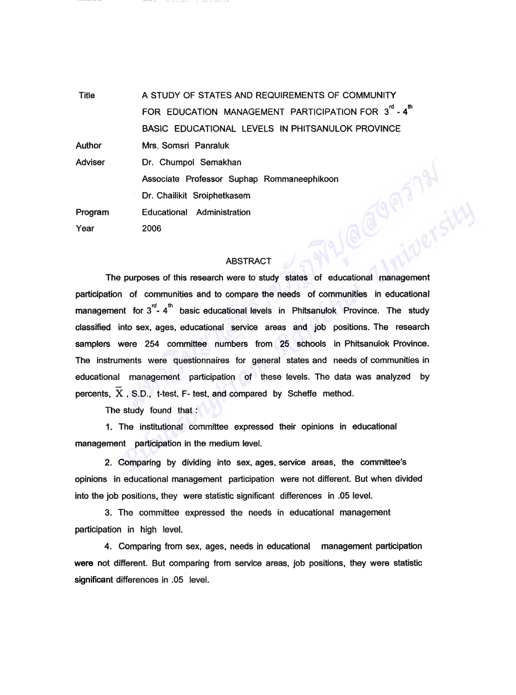**Title** A STUDY OF STATES AND REQUIREMENTS OF COMMUNITY FOR EDUCATION MANAGEMENT PARTICIPATION FOR 3<sup>rd</sup> - 4<sup>th</sup> BASIC EDUCATIONAL LEVELS IN PHITSANULOK PROVINCE **Author** Mrs. Somsri Panraluk **Adviser** Dr. Chumpol Semakhan GP13131 Associate Professor Suphap Rommaneephikoon Dr. Chailikit Sroiphetkasem Educational Administration Program Year 2006

## **ABSTRACT**

The purposes of this research were to study states of educational management participation of communities and to compare the needs of communities in educational management for  $3^{\text{rd}}$ - 4<sup>th</sup> basic educational levels in Phitsanulok Province. The study classified into sex, ages, educational service areas and job positions. The research samplers were 254 committee numbers from 25 schools in Phitsanulok Province. The instruments were questionnaires for general states and needs of communities in educational management participation of these levels. The data was analyzed by percents,  $\overline{X}$ , S.D., t-test, F- test, and compared by Scheffe method.

The study found that:

1. The institutional committee expressed their opinions in educational management participation in the medium level.

2. Comparing by dividing into sex, ages, service areas, the committee's opinions in educational management participation were not different. But when divided into the job positions, they were statistic significant differences in .05 level.

3. The committee expressed the needs in educational management participation in high level.

4. Comparing from sex, ages, needs in educational management participation were not different. But comparing from service areas, job positions, they were statistic significant differences in .05 level.